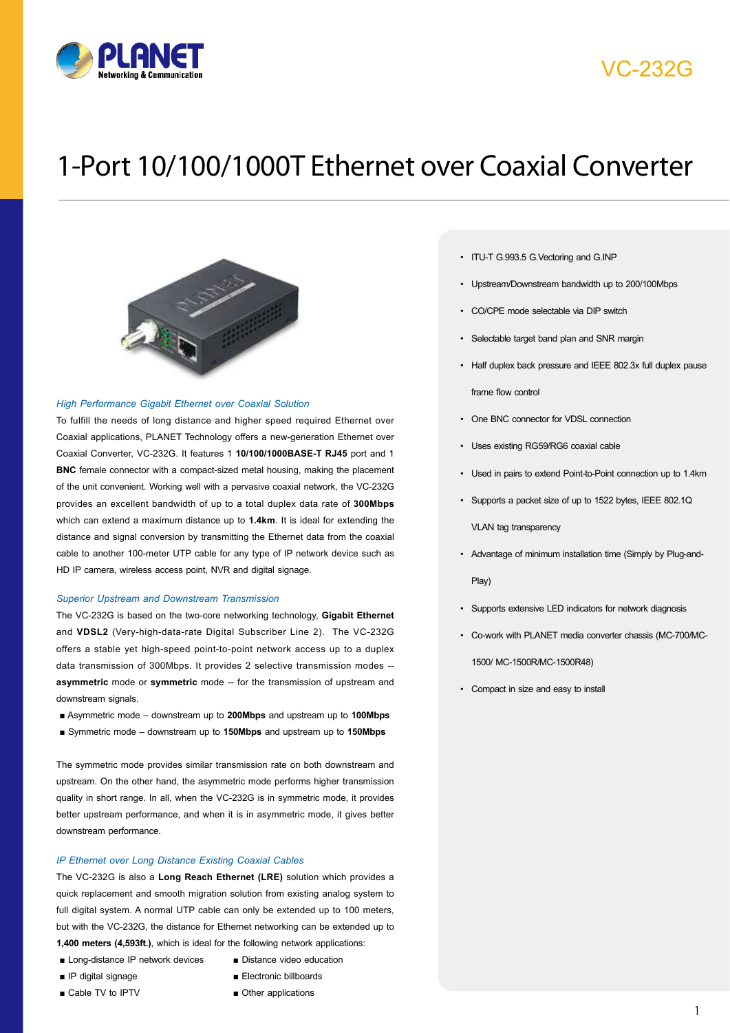

## VC-232G

# 1-Port 10/100/1000T Ethernet over Coaxial Converter



### *High Performance Gigabit Ethernet over Coaxial Solution*

To fulfill the needs of long distance and higher speed required Ethernet over Coaxial applications, PLANET Technology offers a new-generation Ethernet over Coaxial Converter, VC-232G. It features 1 **10/100/1000BASE-T RJ45** port and 1 **BNC** female connector with a compact-sized metal housing, making the placement of the unit convenient. Working well with a pervasive coaxial network, the VC-232G provides an excellent bandwidth of up to a total duplex data rate of **300Mbps** which can extend a maximum distance up to **1.4km**. It is ideal for extending the distance and signal conversion by transmitting the Ethernet data from the coaxial cable to another 100-meter UTP cable for any type of IP network device such as HD IP camera, wireless access point, NVR and digital signage.

#### *Superior Upstream and Downstream Transmission*

The VC-232G is based on the two-core networking technology, **Gigabit Ethernet**  and **VDSL2** (Very-high-data-rate Digital Subscriber Line 2). The VC-232G offers a stable yet high-speed point-to-point network access up to a duplex data transmission of 300Mbps. It provides 2 selective transmission modes - **asymmetric** mode or **symmetric** mode -- for the transmission of upstream and downstream signals.

- Asymmetric mode downstream up to 200Mbps and upstream up to 100Mbps
- Symmetric mode downstream up to **150Mbps** and upstream up to **150Mbps**

The symmetric mode provides similar transmission rate on both downstream and upstream. On the other hand, the asymmetric mode performs higher transmission quality in short range. In all, when the VC-232G is in symmetric mode, it provides better upstream performance, and when it is in asymmetric mode, it gives better downstream performance.

#### *IP Ethernet over Long Distance Existing Coaxial Cables*

The VC-232G is also a **Long Reach Ethernet (LRE)** solution which provides a quick replacement and smooth migration solution from existing analog system to full digital system. A normal UTP cable can only be extended up to 100 meters, but with the VC-232G, the distance for Ethernet networking can be extended up to **1,400 meters (4,593ft.)**, which is ideal for the following network applications:

- Long-distance IP network devices
- 
- IP digital signage
- Cable TV to IPTV
- Distance video education
- Electronic billboards
- Other applications
- ITU-T G.993.5 G.Vectoring and G.INP
- • Upstream/Downstream bandwidth up to 200/100Mbps
- • CO/CPE mode selectable via DIP switch
- Selectable target band plan and SNR margin
- Half duplex back pressure and IEEE 802.3x full duplex pause frame flow control
- • One BNC connector for VDSL connection
- • Uses existing RG59/RG6 coaxial cable
- • Used in pairs to extend Point-to-Point connection up to 1.4km
- • Supports a packet size of up to 1522 bytes, IEEE 802.1Q

VLAN tag transparency

- • Advantage of minimum installation time (Simply by Plug-and-Play)
- • Supports extensive LED indicators for network diagnosis
- • Co-work with PLANET media converter chassis (MC-700/MC-

1500/ MC-1500R/MC-1500R48)

• Compact in size and easy to install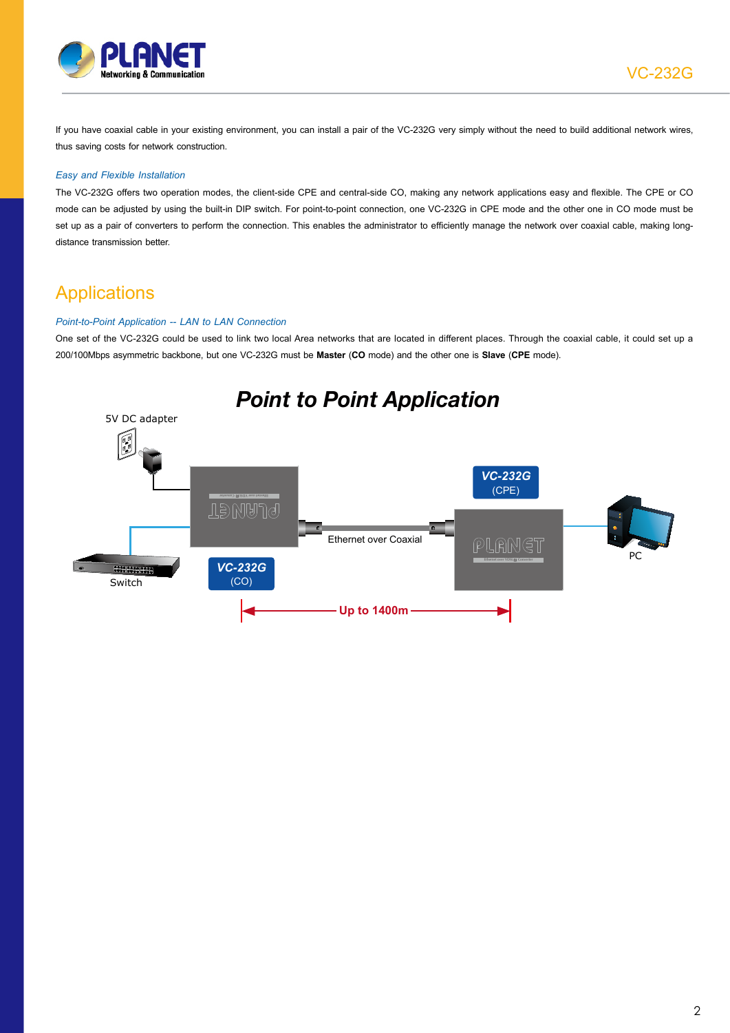

If you have coaxial cable in your existing environment, you can install a pair of the VC-232G very simply without the need to build additional network wires, thus saving costs for network construction.

### *Easy and Flexible Installation*

The VC-232G offers two operation modes, the client-side CPE and central-side CO, making any network applications easy and flexible. The CPE or CO mode can be adjusted by using the built-in DIP switch. For point-to-point connection, one VC-232G in CPE mode and the other one in CO mode must be set up as a pair of converters to perform the connection. This enables the administrator to efficiently manage the network over coaxial cable, making longdistance transmission better.

### **Applications**

### *Point-to-Point Application -- LAN to LAN Connection*

One set of the VC-232G could be used to link two local Area networks that are located in different places. Through the coaxial cable, it could set up a 200/100Mbps asymmetric backbone, but one VC-232G must be **Master** (**CO** mode) and the other one is **Slave** (**CPE** mode).

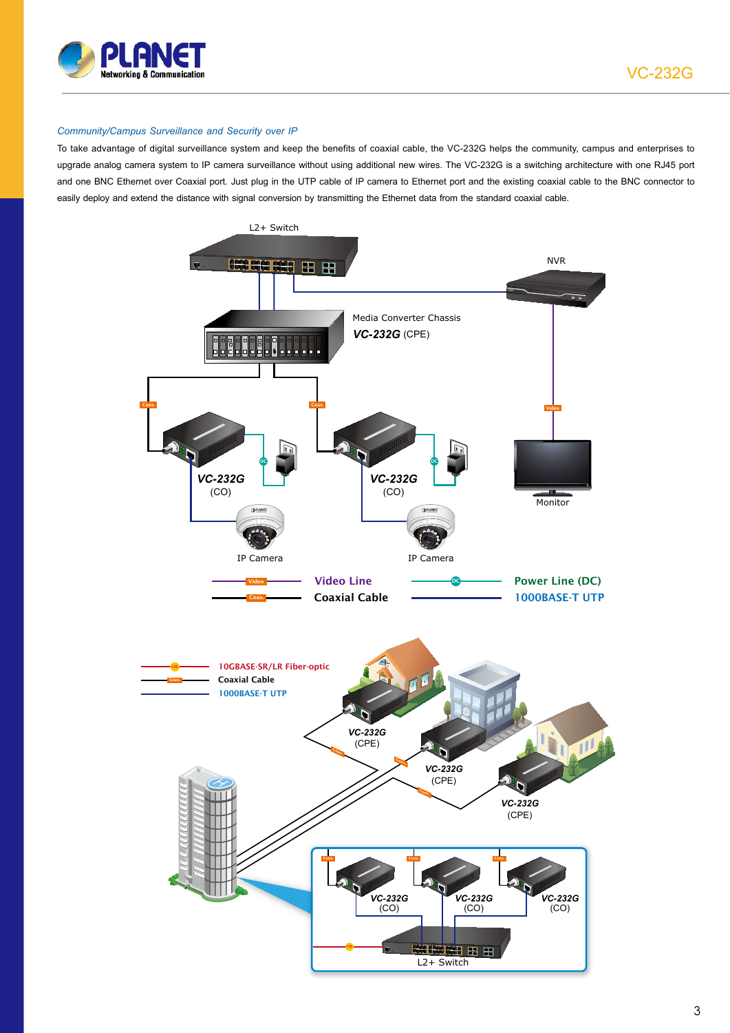

VC-232G

### *Community/Campus Surveillance and Security over IP*

To take advantage of digital surveillance system and keep the benefits of coaxial cable, the VC-232G helps the community, campus and enterprises to upgrade analog camera system to IP camera surveillance without using additional new wires. The VC-232G is a switching architecture with one RJ45 port and one BNC Ethernet over Coaxial port. Just plug in the UTP cable of IP camera to Ethernet port and the existing coaxial cable to the BNC connector to easily deploy and extend the distance with signal conversion by transmitting the Ethernet data from the standard coaxial cable.

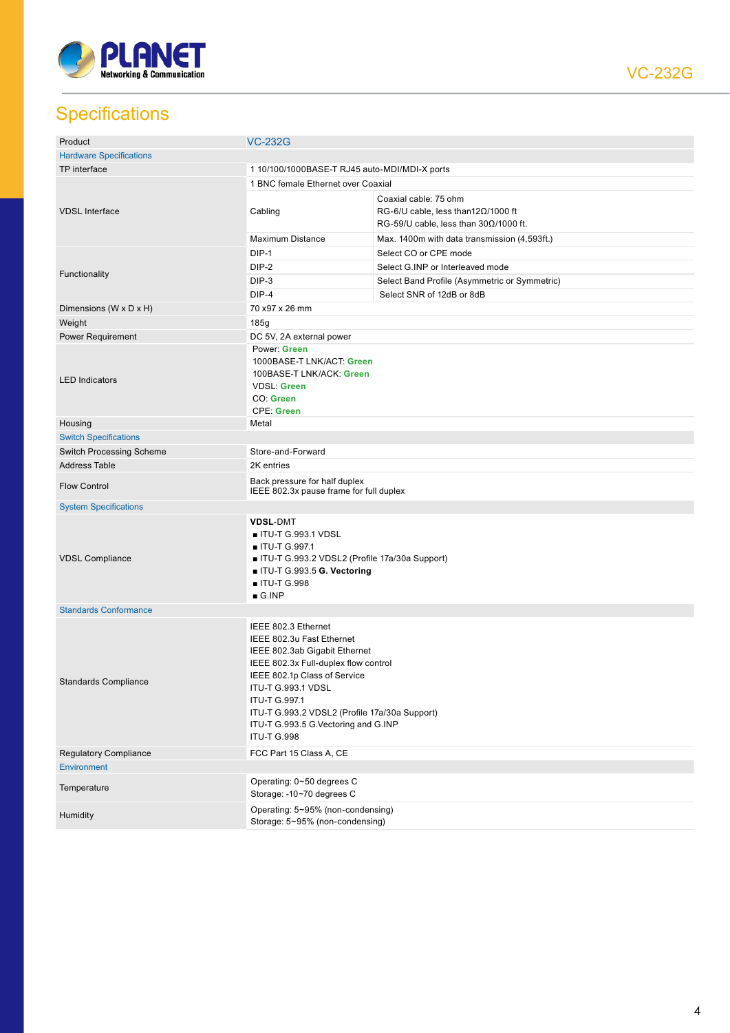

**Specifications** 

| Product                         | <b>VC-232G</b>                                                                                                                                                                                                                                                                                                 |                                                                                                                     |  |  |
|---------------------------------|----------------------------------------------------------------------------------------------------------------------------------------------------------------------------------------------------------------------------------------------------------------------------------------------------------------|---------------------------------------------------------------------------------------------------------------------|--|--|
| <b>Hardware Specifications</b>  |                                                                                                                                                                                                                                                                                                                |                                                                                                                     |  |  |
| TP interface                    | 1 10/100/1000BASE-T RJ45 auto-MDI/MDI-X ports                                                                                                                                                                                                                                                                  |                                                                                                                     |  |  |
| <b>VDSL Interface</b>           | 1 BNC female Ethernet over Coaxial                                                                                                                                                                                                                                                                             |                                                                                                                     |  |  |
|                                 | Cabling                                                                                                                                                                                                                                                                                                        | Coaxial cable: 75 ohm<br>RG-6/U cable, less than $12\Omega/1000$ ft<br>RG-59/U cable, less than $30\Omega/1000$ ft. |  |  |
|                                 | <b>Maximum Distance</b>                                                                                                                                                                                                                                                                                        | Max. 1400m with data transmission (4,593ft.)                                                                        |  |  |
|                                 | DIP-1                                                                                                                                                                                                                                                                                                          | Select CO or CPE mode                                                                                               |  |  |
|                                 | DIP-2                                                                                                                                                                                                                                                                                                          | Select G.INP or Interleaved mode                                                                                    |  |  |
| Functionality                   | DIP-3                                                                                                                                                                                                                                                                                                          | Select Band Profile (Asymmetric or Symmetric)                                                                       |  |  |
|                                 | $DIP-4$                                                                                                                                                                                                                                                                                                        | Select SNR of 12dB or 8dB                                                                                           |  |  |
| Dimensions (W x D x H)          | 70 x97 x 26 mm                                                                                                                                                                                                                                                                                                 |                                                                                                                     |  |  |
| Weight                          | 185g                                                                                                                                                                                                                                                                                                           |                                                                                                                     |  |  |
| Power Requirement               | DC 5V, 2A external power                                                                                                                                                                                                                                                                                       |                                                                                                                     |  |  |
| <b>LED Indicators</b>           | Power: Green<br>1000BASE-T LNK/ACT: Green<br>100BASE-T LNK/ACK: Green<br><b>VDSL: Green</b><br>CO: Green<br><b>CPE: Green</b>                                                                                                                                                                                  |                                                                                                                     |  |  |
| Housing                         | Metal                                                                                                                                                                                                                                                                                                          |                                                                                                                     |  |  |
| <b>Switch Specifications</b>    |                                                                                                                                                                                                                                                                                                                |                                                                                                                     |  |  |
| <b>Switch Processing Scheme</b> | Store-and-Forward                                                                                                                                                                                                                                                                                              |                                                                                                                     |  |  |
| <b>Address Table</b>            | 2K entries                                                                                                                                                                                                                                                                                                     |                                                                                                                     |  |  |
| <b>Flow Control</b>             | Back pressure for half duplex<br>IEEE 802.3x pause frame for full duplex                                                                                                                                                                                                                                       |                                                                                                                     |  |  |
| <b>System Specifications</b>    |                                                                                                                                                                                                                                                                                                                |                                                                                                                     |  |  |
| <b>VDSL Compliance</b>          | <b>VDSL-DMT</b><br>■ ITU-T G.993.1 VDSL<br>■ ITU-T G.997.1<br>■ ITU-T G.993.2 VDSL2 (Profile 17a/30a Support)<br>ITU-T G.993.5 G. Vectoring<br>■ ITU-T G.998<br>$\blacksquare$ G.INP                                                                                                                           |                                                                                                                     |  |  |
| <b>Standards Conformance</b>    |                                                                                                                                                                                                                                                                                                                |                                                                                                                     |  |  |
| <b>Standards Compliance</b>     | IEEE 802.3 Ethernet<br>IEEE 802.3u Fast Ethernet<br>IEEE 802.3ab Gigabit Ethernet<br>IEEE 802.3x Full-duplex flow control<br>IEEE 802.1p Class of Service<br>ITU-T G.993.1 VDSL<br>ITU-T G.997.1<br>ITU-T G.993.2 VDSL2 (Profile 17a/30a Support)<br>ITU-T G.993.5 G.Vectoring and G.INP<br><b>ITU-T G.998</b> |                                                                                                                     |  |  |
| <b>Regulatory Compliance</b>    | FCC Part 15 Class A, CE                                                                                                                                                                                                                                                                                        |                                                                                                                     |  |  |
| <b>Environment</b>              |                                                                                                                                                                                                                                                                                                                |                                                                                                                     |  |  |
| Temperature                     | Operating: 0~50 degrees C<br>Storage: - 10~70 degrees C                                                                                                                                                                                                                                                        |                                                                                                                     |  |  |
| Humidity                        | Operating: 5~95% (non-condensing)<br>Storage: 5~95% (non-condensing)                                                                                                                                                                                                                                           |                                                                                                                     |  |  |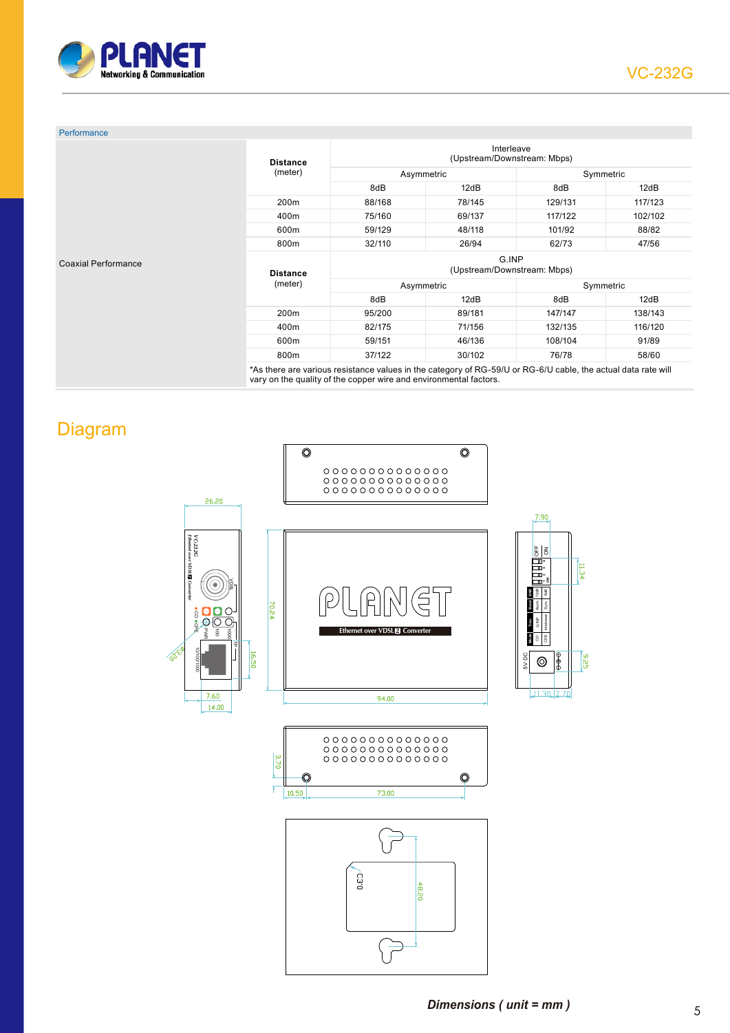

| Performance<br><b>Coaxial Performance</b> | <b>Distance</b>  | Interleave<br>(Upstream/Downstream: Mbps) |        |           |         |
|-------------------------------------------|------------------|-------------------------------------------|--------|-----------|---------|
|                                           | (meter)          | Asymmetric                                |        | Symmetric |         |
|                                           |                  | 8dB                                       | 12dB   | 8dB       | 12dB    |
|                                           | 200 <sub>m</sub> | 88/168                                    | 78/145 | 129/131   | 117/123 |
|                                           | 400m             | 75/160                                    | 69/137 | 117/122   | 102/102 |
|                                           | 600m             | 59/129                                    | 48/118 | 101/92    | 88/82   |
|                                           | 800m             | 32/110                                    | 26/94  | 62/73     | 47/56   |
|                                           | <b>Distance</b>  | G.INP<br>(Upstream/Downstream: Mbps)      |        |           |         |
|                                           | (meter)          | Asymmetric                                |        | Symmetric |         |
|                                           |                  | 8dB                                       | 12dB   | 8dB       | 12dB    |
|                                           | 200 <sub>m</sub> | 95/200                                    | 89/181 | 147/147   | 138/143 |
|                                           | 400m             | 82/175                                    | 71/156 | 132/135   | 116/120 |
|                                           | 600m             | 59/151                                    | 46/136 | 108/104   | 91/89   |
|                                           | 800m             | 37/122                                    | 30/102 | 76/78     | 58/60   |

Diagram